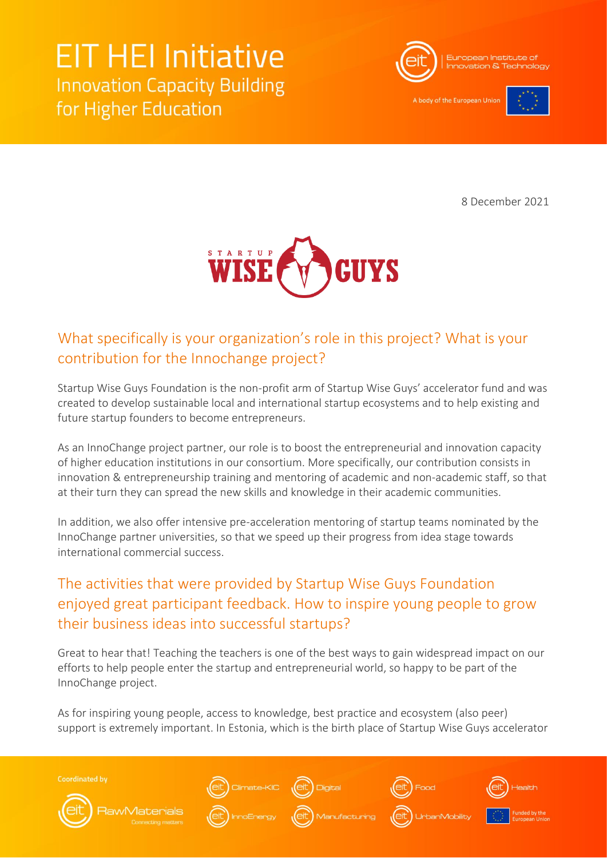# **EIT HEI Initiative Innovation Capacity Building** for Higher Education



A body of the European Uni-



8 December 2021



#### What specifically is your organization's role in this project? What is your contribution for the Innochange project?

Startup Wise Guys Foundation is the non-profit arm of Startup Wise Guys' accelerator fund and was created to develop sustainable local and international startup ecosystems and to help existing and future startup founders to become entrepreneurs.

As an InnoChange project partner, our role is to boost the entrepreneurial and innovation capacity of higher education institutions in our consortium. More specifically, our contribution consists in innovation & entrepreneurship training and mentoring of academic and non-academic staff, so that at their turn they can spread the new skills and knowledge in their academic communities.

In addition, we also offer intensive pre-acceleration mentoring of startup teams nominated by the InnoChange partner universities, so that we speed up their progress from idea stage towards international commercial success.

### The activities that were provided by Startup Wise Guys Foundation enjoyed great participant feedback. How to inspire young people to grow their business ideas into successful startups?

Great to hear that! Teaching the teachers is one of the best ways to gain widespread impact on our efforts to help people enter the startup and entrepreneurial world, so happy to be part of the InnoChange project.

As for inspiring young people, access to knowledge, best practice and ecosystem (also peer) support is extremely important. In Estonia, which is the birth place of Startup Wise Guys accelerator

**Coordinated by**